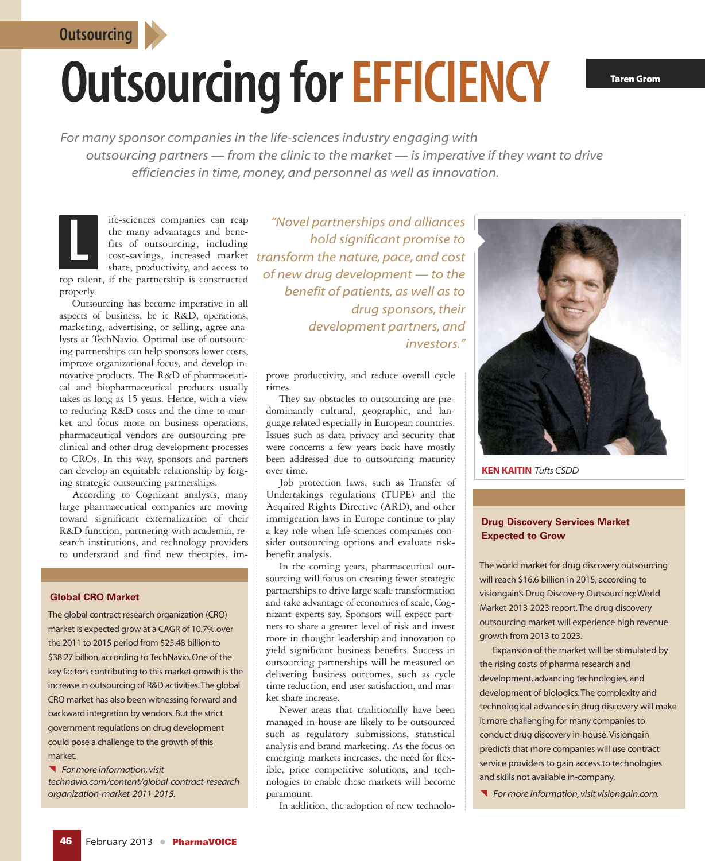

# **Outsourcing for EFFICIENCY**

For many sponsor companies in the life-sciences industry engaging with outsourcing partners — from the clinic to the market — is imperative if they want to drive efficiencies in time, money, and personnel as well as innovation.

ife-sciences companies can reap the many advantages and benefits of outsourcing, including share, productivity, and access to top talent, if the partnership is constructed properly. L

Outsourcing has become imperative in all aspects of business, be it R&D, operations, marketing, advertising, or selling, agree analysts at TechNavio. Optimal use of outsourcing partnerships can help sponsors lower costs, improve organizational focus, and develop innovative products. The R&D of pharmaceutical and biopharmaceutical products usually takes as long as 15 years. Hence, with a view to reducing R&D costs and the time-to-market and focus more on business operations, pharmaceutical vendors are outsourcing preclinical and other drug development processes to CROs. In this way, sponsors and partners can develop an equitable relationship by forging strategic outsourcing partnerships.

According to Cognizant analysts, many large pharmaceutical companies are moving toward significant externalization of their R&D function, partnering with academia, research institutions, and technology providers to understand and find new therapies, im-

#### **Global CRO Market**

The global contract research organization (CRO) market is expected grow at a CAGR of 10.7% over the 2011 to 2015 period from \$25.48 billion to \$38.27 billion, according to TechNavio. One of the key factors contributing to this market growth is the increase in outsourcing of R&D activities.The global CRO market has also been witnessing forward and backward integration by vendors.But the strict government regulations on drug development could pose a challenge to the growth of this market.

 $\blacksquare$  For more information, visit technavio.com/content/global-contract-researchorganization-market-2011-2015.

cost-savings, increased market *transform the nature, pace, and cost* "Novel partnerships and alliances hold significant promise to of new drug development — to the benefit of patients, as well as to drug sponsors, their development partners, and investors."

> prove productivity, and reduce overall cycle times.

> They say obstacles to outsourcing are predominantly cultural, geographic, and language related especially in European countries. Issues such as data privacy and security that were concerns a few years back have mostly been addressed due to outsourcing maturity over time.

> Job protection laws, such as Transfer of Undertakings regulations (TUPE) and the Acquired Rights Directive (ARD), and other immigration laws in Europe continue to play a key role when life-sciences companies consider outsourcing options and evaluate riskbenefit analysis.

> In the coming years, pharmaceutical outsourcing will focus on creating fewer strategic partnerships to drive large scale transformation and take advantage of economies of scale, Cognizant experts say. Sponsors will expect partners to share a greater level of risk and invest more in thought leadership and innovation to yield significant business benefits. Success in outsourcing partnerships will be measured on delivering business outcomes, such as cycle time reduction, end user satisfaction, and market share increase.

> Newer areas that traditionally have been managed in-house are likely to be outsourced such as regulatory submissions, statistical analysis and brand marketing. As the focus on emerging markets increases, the need for flexible, price competitive solutions, and technologies to enable these markets will become paramount.

In addition, the adoption of new technolo-



**KEN KAITIN** Tufts CSDD

# **Drug Discovery Services Market Expected to Grow**

The world market for drug discovery outsourcing will reach \$16.6 billion in 2015, according to visiongain's Drug Discovery Outsourcing:World Market 2013-2023 report.The drug discovery outsourcing market will experience high revenue growth from 2013 to 2023.

Expansion of the market will be stimulated by the rising costs of pharma research and development, advancing technologies, and development of biologics.The complexity and technological advances in drug discovery will make it more challenging for many companies to conduct drug discovery in-house.Visiongain predicts that more companies will use contract service providers to gain access to technologies and skills not available in-company.

 $\blacksquare$  For more information, visit visiongain.com.

**Taren Grom**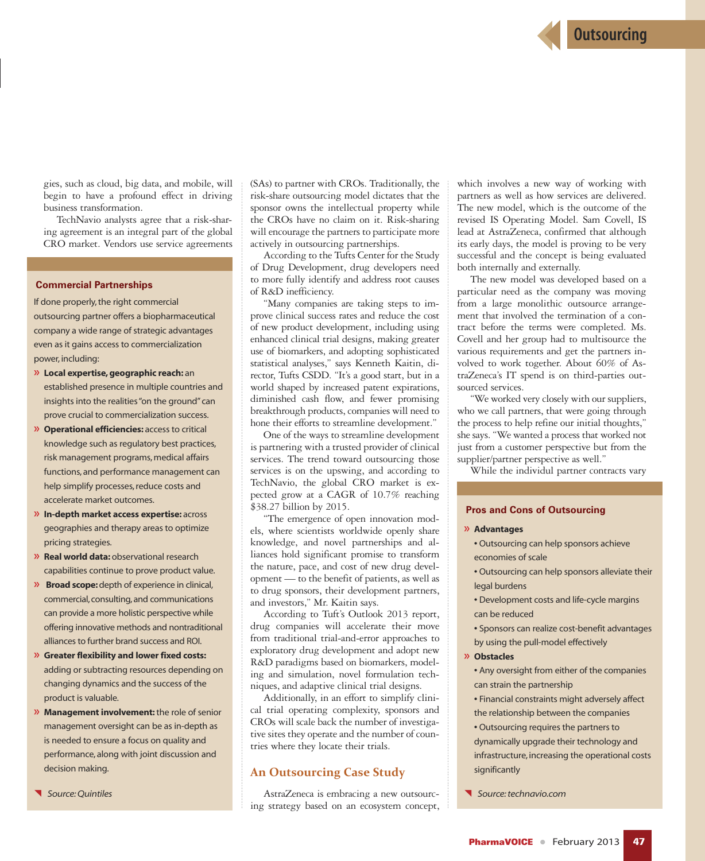gies, such as cloud, big data, and mobile, will begin to have a profound effect in driving business transformation.

TechNavio analysts agree that a risk-sharing agreement is an integral part of the global CRO market. Vendors use service agreements

#### **Commercial Partnerships**

If done properly, the right commercial outsourcing partner offers a biopharmaceutical company a wide range of strategic advantages even as it gains access to commercialization power, including:

- **» Local expertise,geographic reach:** an established presence in multiple countries and insights into the realities "on the ground" can prove crucial to commercialization success.
- **» Operational efficiencies:** access to critical knowledge such as regulatory best practices, risk management programs, medical affairs functions, and performance management can help simplify processes, reduce costs and accelerate market outcomes.
- **» In-depth market access expertise:** across geographies and therapy areas to optimize pricing strategies.
- **» Real world data:** observational research capabilities continue to prove product value.
- **» Broad scope:**depth of experience in clinical, commercial, consulting,and communications can provide a more holistic perspective while offering innovative methods and nontraditional alliances to further brand success and ROI.
- **» Greater flexibility and lower fixed costs:** adding or subtracting resources depending on changing dynamics and the success of the product is valuable.
- **» Management involvement:**the role of senior management oversight can be as in-depth as is needed to ensure a focus on quality and performance, along with joint discussion and decision making.
- { Source:Quintiles

(SAs) to partner with CROs. Traditionally, the risk-share outsourcing model dictates that the sponsor owns the intellectual property while the CROs have no claim on it. Risk-sharing will encourage the partners to participate more actively in outsourcing partnerships.

According to the Tufts Center for the Study of Drug Development, drug developers need to more fully identify and address root causes of R&D inefficiency.

"Many companies are taking steps to improve clinical success rates and reduce the cost of new product development, including using enhanced clinical trial designs, making greater use of biomarkers, and adopting sophisticated statistical analyses," says Kenneth Kaitin, director, Tufts CSDD. "It's a good start, but in a world shaped by increased patent expirations, diminished cash flow, and fewer promising breakthrough products, companies will need to hone their efforts to streamline development."

One of the ways to streamline development is partnering with a trusted provider of clinical services. The trend toward outsourcing those services is on the upswing, and according to TechNavio, the global CRO market is expected grow at a CAGR of 10.7% reaching \$38.27 billion by 2015.

"The emergence of open innovation models, where scientists worldwide openly share knowledge, and novel partnerships and alliances hold significant promise to transform the nature, pace, and cost of new drug development — to the benefit of patients, as well as to drug sponsors, their development partners, and investors," Mr. Kaitin says.

According to Tuft's Outlook 2013 report, drug companies will accelerate their move from traditional trial-and-error approaches to exploratory drug development and adopt new R&D paradigms based on biomarkers, modeling and simulation, novel formulation techniques, and adaptive clinical trial designs.

Additionally, in an effort to simplify clinical trial operating complexity, sponsors and CROs will scale back the number of investigative sites they operate and the number of countries where they locate their trials.

# **An Outsourcing Case Study**

AstraZeneca is embracing a new outsourcing strategy based on an ecosystem concept,

which involves a new way of working with partners as well as how services are delivered. The new model, which is the outcome of the revised IS Operating Model. Sam Covell, IS lead at AstraZeneca, confirmed that although its early days, the model is proving to be very successful and the concept is being evaluated both internally and externally.

The new model was developed based on a particular need as the company was moving from a large monolithic outsource arrangement that involved the termination of a contract before the terms were completed. Ms. Covell and her group had to multisource the various requirements and get the partners involved to work together. About 60% of AstraZeneca's IT spend is on third-parties outsourced services.

"We worked very closely with our suppliers, who we call partners, that were going through the process to help refine our initial thoughts," shesays."We wanted a process that worked not just from a customer perspective but from the supplier/partner perspective as well."

While the individul partner contracts vary

#### **Pros and Cons of Outsourcing**

#### **» Advantages**

- **•** Outsourcing can help sponsors achieve economies of scale
- **•** Outsourcing can help sponsors alleviate their legal burdens
- **•** Development costs and life-cycle margins can be reduced
- **•** Sponsors can realize cost-benefit advantages
- by using the pull-model effectively

#### **» Obstacles**

- **•** Any oversight from either of the companies can strain the partnership
- **•** Financial constraints might adversely affect the relationship between the companies
- **•** Outsourcing requires the partners to dynamically upgrade their technology and infrastructure, increasing the operational costs significantly

{ Source:technavio.com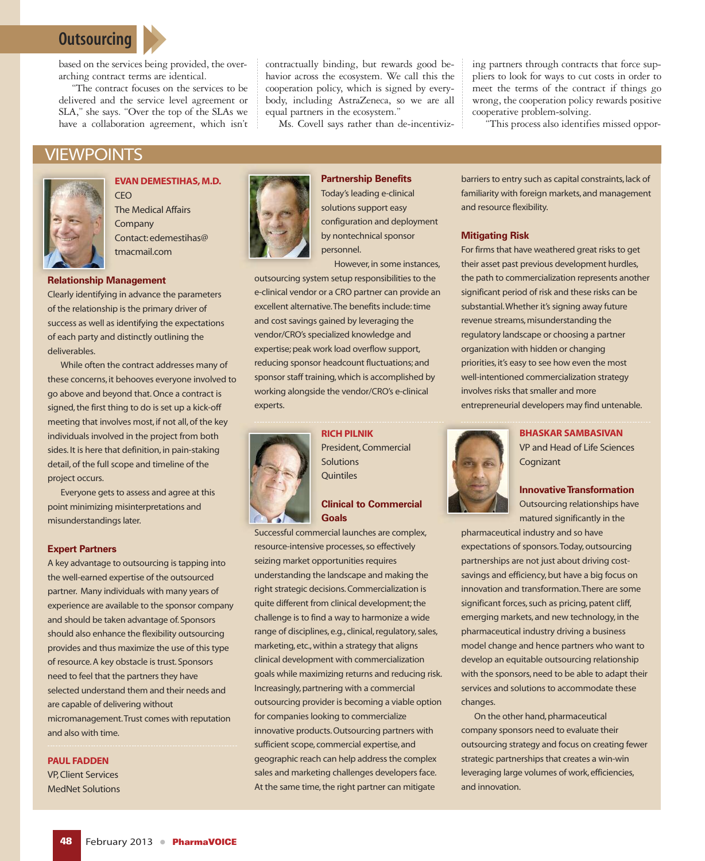

based on the services being provided, the overarching contract terms are identical.

"The contract focuses on the services to be delivered and the service level agreement or SLA," she says. "Over the top of the SLAs we have a collaboration agreement, which isn't contractually binding, but rewards good behavior across the ecosystem. We call this the cooperation policy, which is signed by everybody, including AstraZeneca, so we are all equal partners in the ecosystem."

Ms. Covell says rather than de-incentiviz-

ing partners through contracts that force suppliers to look for ways to cut costs in order to meet the terms of the contract if things go wrong, the cooperation policy rewards positive cooperative problem-solving.

"This process also identifies missed oppor-

# VIEWPOINTS



## **EVAN DEMESTIHAS, M.D. CEO**

The Medical Affairs **Company** Contact: edemestihas@ tmacmail.com

## **Relationship Management**

Clearly identifying in advance the parameters of the relationship is the primary driver of success as well as identifying the expectations of each party and distinctly outlining the deliverables.

While often the contract addresses many of these concerns, it behooves everyone involved to go above and beyond that.Once a contract is signed, the first thing to do is set up a kick-off meeting that involves most, if not all, of the key individuals involved in the project from both sides. It is here that definition, in pain-staking detail,of the full scope and timeline of the project occurs.

Everyone gets to assess and agree at this point minimizing misinterpretations and misunderstandings later.

## **Expert Partners**

A key advantage to outsourcing istapping into the well-earned expertise of the outsourced partner. Many individuals with many years of experience are available to the sponsor company and should be taken advantage of.Sponsors should also enhance the flexibility outsourcing provides and thus maximize the use of thistype of resource. A key obstacle is trust. Sponsors need to feel that the partners they have selected understand them and their needs and are capable of delivering without micromanagement.Trust comes with reputation and also with time.

#### **PAUL FADDEN**

VP,Client Services MedNet Solutions



**Partnership Benefits** Today's leading e-clinical solutions support easy configuration and deployment by nontechnical sponsor personnel.

However, in some instances,

outsourcing system setup responsibilities to the e-clinical vendor or a CRO partner can provide an excellent alternative. The benefits include: time and cost savings gained by leveraging the vendor/CRO's specialized knowledge and expertise; peak work load overflow support, reducing sponsor headcount fluctuations; and sponsor staff training, which is accomplished by working alongside the vendor/CRO's e-clinical experts.



#### **RICH PILNIK**

President, Commercial **Solutions Ouintiles** 

# **Clinical to Commercial Goals**

Successful commercial launches are complex, resource-intensive processes, so effectively seizing market opportunities requires understanding the landscape and making the right strategic decisions. Commercialization is quite different from clinical development; the challenge is to find a way to harmonize a wide range of disciplines, e.g., clinical, regulatory, sales, marketing,etc.,within a strategy that aligns clinical development with commercialization goals while maximizing returns and reducing risk. Increasingly,partnering with a commercial outsourcing provider is becoming a viable option for companies looking to commercialize innovative products.Outsourcing partners with sufficient scope, commercial expertise, and geographic reach can help address the complex sales and marketing challenges developers face. At the same time, the right partner can mitigate

barriers to entry such as capital constraints, lack of familiarity with foreign markets, and management and resource flexibility.

#### **Mitigating Risk**

For firms that have weathered great risks to get their asset past previous development hurdles, the path to commercialization represents another significant period of risk and these risks can be substantial. Whether it's signing away future revenue streams, misunderstanding the regulatory landscape or choosing a partner organization with hidden or changing priorities, it's easy to see how even the most well-intentioned commercialization strategy involves risks that smaller and more entrepreneurial developers may find untenable.



#### **BHASKAR SAMBASIVAN**

VP and Head of Life Sciences Cognizant

#### **Innovative Transformation**

Outsourcing relationships have matured significantly in the

pharmaceutical industry and so have expectations of sponsors. Today, outsourcing partnerships are not just about driving costsavings and efficiency, but have a big focus on innovation and transformation.There are some significant forces, such as pricing, patent cliff, emerging markets, and new technology, in the pharmaceutical industry driving a business model change and hence partners who want to develop an equitable outsourcing relationship with the sponsors, need to be able to adapt their services and solutions to accommodate these changes.

On the other hand, pharmaceutical company sponsors need to evaluate their outsourcing strategy and focus on creating fewer strategic partnerships that creates a win-win leveraging large volumes of work, efficiencies, and innovation.